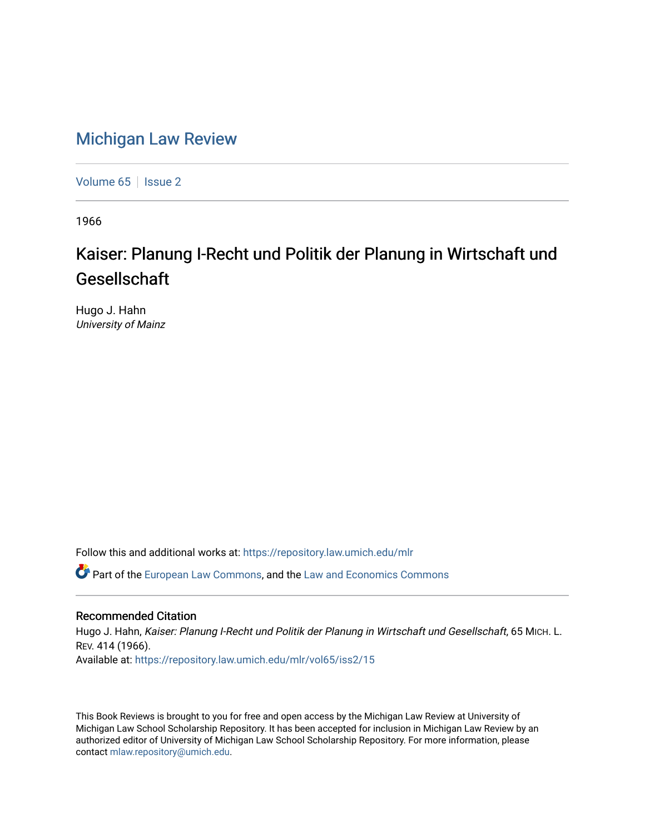## [Michigan Law Review](https://repository.law.umich.edu/mlr)

[Volume 65](https://repository.law.umich.edu/mlr/vol65) | [Issue 2](https://repository.law.umich.edu/mlr/vol65/iss2)

1966

## Kaiser: Planung I-Recht und Politik der Planung in Wirtschaft und Gesellschaft

Hugo J. Hahn University of Mainz

Follow this and additional works at: [https://repository.law.umich.edu/mlr](https://repository.law.umich.edu/mlr?utm_source=repository.law.umich.edu%2Fmlr%2Fvol65%2Fiss2%2F15&utm_medium=PDF&utm_campaign=PDFCoverPages) 

Part of the [European Law Commons,](http://network.bepress.com/hgg/discipline/1084?utm_source=repository.law.umich.edu%2Fmlr%2Fvol65%2Fiss2%2F15&utm_medium=PDF&utm_campaign=PDFCoverPages) and the [Law and Economics Commons](http://network.bepress.com/hgg/discipline/612?utm_source=repository.law.umich.edu%2Fmlr%2Fvol65%2Fiss2%2F15&utm_medium=PDF&utm_campaign=PDFCoverPages)

## Recommended Citation

Hugo J. Hahn, Kaiser: Planung I-Recht und Politik der Planung in Wirtschaft und Gesellschaft, 65 MICH. L. REV. 414 (1966). Available at: [https://repository.law.umich.edu/mlr/vol65/iss2/15](https://repository.law.umich.edu/mlr/vol65/iss2/15?utm_source=repository.law.umich.edu%2Fmlr%2Fvol65%2Fiss2%2F15&utm_medium=PDF&utm_campaign=PDFCoverPages) 

This Book Reviews is brought to you for free and open access by the Michigan Law Review at University of Michigan Law School Scholarship Repository. It has been accepted for inclusion in Michigan Law Review by an authorized editor of University of Michigan Law School Scholarship Repository. For more information, please contact [mlaw.repository@umich.edu](mailto:mlaw.repository@umich.edu).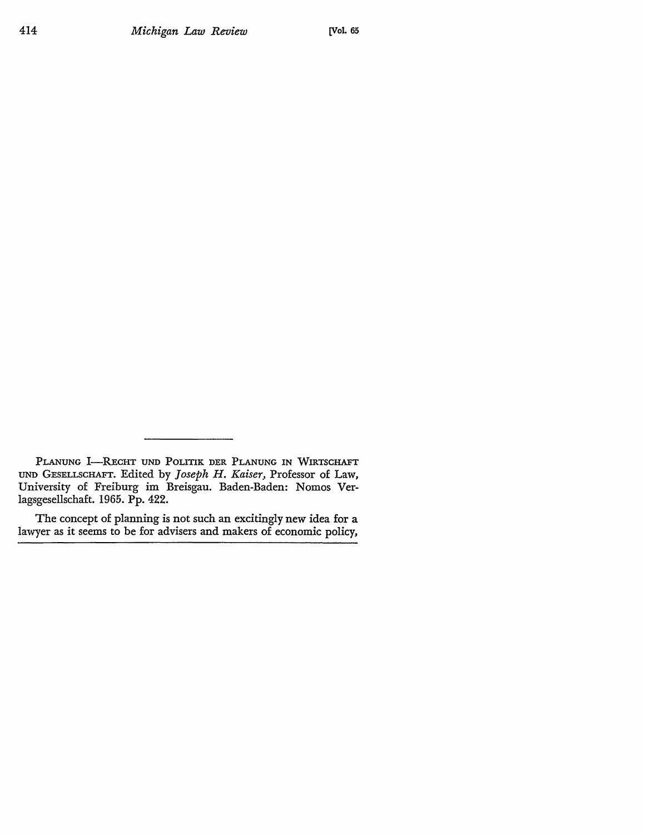PLANUNG I-RECHT UND POLITIK DER PLANUNG IN WIRTSCHAFT UND GESELLSCHAFT. Edited by *Joseph H. Kaiser,* Professor of Law, University of Freiburg im Breisgau. Baden-Baden: Nomos Verlagsgesellschaft. 1965. Pp. 422.

The concept of planning is not such an excitingly new idea for a lawyer as it seems to be for advisers and makers of economic policy,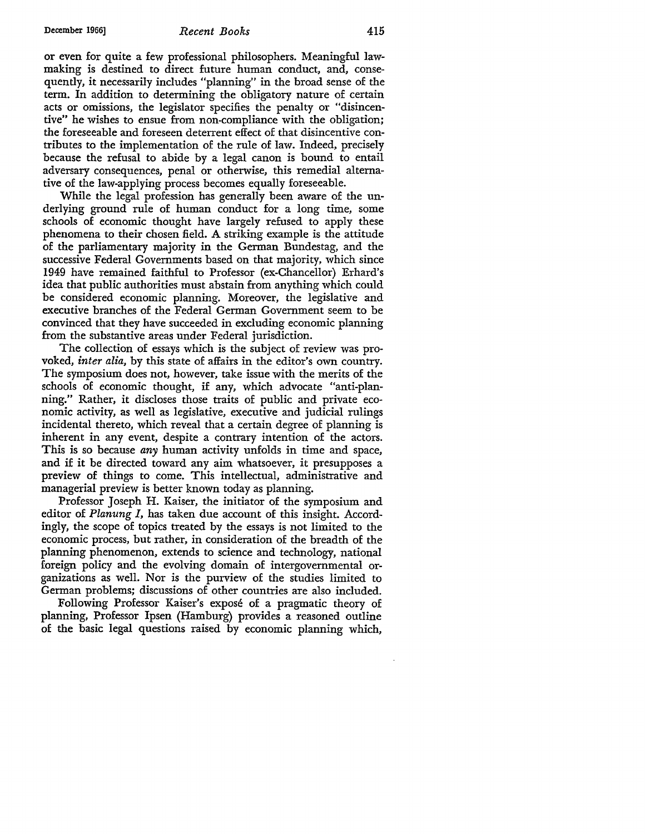or even for quite a few professional philosophers. Meaningful lawmaking is destined to direct future human conduct, and, consequently, it necessarily includes "planning" in the broad sense of the term. In addition to determining the obligatory nature of certain acts or omissions, the legislator specifies the penalty or "disincentive" he wishes to ensue from non-compliance with the obligation; the foreseeable and foreseen deterrent effect of that disincentive contributes to the implementation of the rule of law. Indeed, precisely because the refusal to abide by a legal canon is bound to entail adversary consequences, penal or otherwise, this remedial alternative of the law-applying process becomes equally foreseeable.

While the legal profession has generally been aware of the underlying ground rule of human conduct for a long time, some schools of economic thought have largely refused to apply these phenomena to their chosen field. A striking example is the attitude of the parliamentary majority in the German Bundestag, and the successive Federal Governments based on that majority, which since 1949 have remained faithful to Professor (ex-Chancellor) Erhard's idea that public authorities must abstain from anything which could be considered economic planning. Moreover, the legislative and executive branches of the Federal German Government seem to be convinced that they have succeeded in excluding economic planning from the substantive areas under Federal jurisdiction.

The collection of essays which is the subject of review was provoked, *inter alia,* by this state of affairs in the editor's own country. The symposium does not, however, take issue with the merits of the schools of economic thought, if any, which advocate "anti-planning." Rather, it discloses those traits of public and private economic activity, as well as legislative, executive and judicial rulings incidental thereto, which reveal that a certain degree of planning is inherent in any event, despite a contrary intention of the actors. This is so because *any* human activity unfolds in time and space, and if it be directed toward any aim whatsoever, it presupposes a preview of things to come. This intellectual, administrative and managerial preview is better known today as planning.

Professor Joseph H. Kaiser, the initiator of the symposium and editor of *Planung I,* has taken due account of this insight. Accordingly, the scope of topics treated by the essays is not limited to the economic process, but rather, in consideration of the breadth of the planning phenomenon, extends to science and technology, national foreign policy and the evolving domain of intergovernmental organizations as well. Nor is the purview of the studies limited to German problems; discussions of other countries are also included.

Following Professor Kaiser's expose of a pragmatic theory of planning, Professor Ipsen (Hamburg) provides a reasoned outline of the basic legal questions raised by economic planning which,